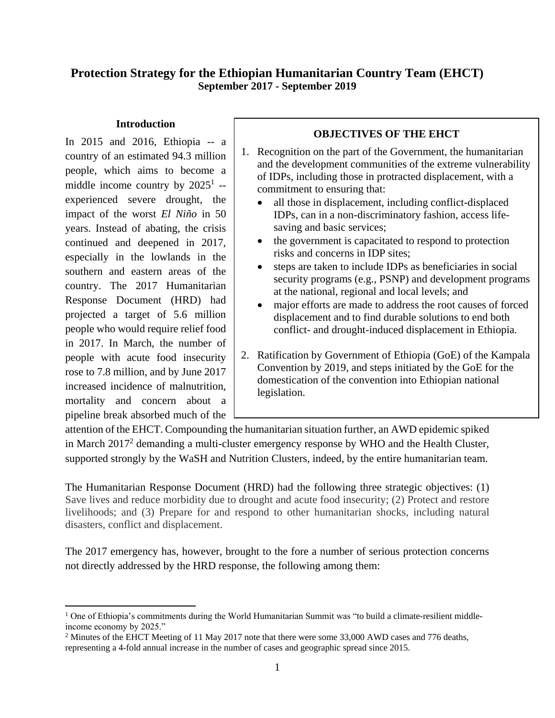# **Protection Strategy for the Ethiopian Humanitarian Country Team (EHCT) September 2017 - September 2019**

### **Introduction**

In 2015 and 2016, Ethiopia -- a country of an estimated 94.3 million people, which aims to become a middle income country by  $2025<sup>1</sup>$  -experienced severe drought, the impact of the worst *El Niño* in 50 years. Instead of abating, the crisis continued and deepened in 2017, especially in the lowlands in the southern and eastern areas of the country. The 2017 Humanitarian Response Document (HRD) had projected a target of 5.6 million people who would require relief food in 2017. In March, the number of people with acute food insecurity rose to 7.8 million, and by June 2017 increased incidence of malnutrition, mortality and concern about a pipeline break absorbed much of the

 $\overline{a}$ 

## **OBJECTIVES OF THE EHCT**

- 1. Recognition on the part of the Government, the humanitarian and the development communities of the extreme vulnerability of IDPs, including those in protracted displacement, with a commitment to ensuring that:
	- all those in displacement, including conflict-displaced IDPs, can in a non-discriminatory fashion, access lifesaving and basic services;
	- the government is capacitated to respond to protection risks and concerns in IDP sites;
	- steps are taken to include IDPs as beneficiaries in social security programs (e.g., PSNP) and development programs at the national, regional and local levels; and
	- major efforts are made to address the root causes of forced displacement and to find durable solutions to end both conflict- and drought-induced displacement in Ethiopia.
- 2. Ratification by Government of Ethiopia (GoE) of the Kampala Convention by 2019, and steps initiated by the GoE for the domestication of the convention into Ethiopian national legislation.

attention of the EHCT. Compounding the humanitarian situation further, an AWD epidemic spiked in March 2017<sup>2</sup> demanding a multi-cluster emergency response by WHO and the Health Cluster, supported strongly by the WaSH and Nutrition Clusters, indeed, by the entire humanitarian team.

The Humanitarian Response Document (HRD) had the following three strategic objectives: (1) Save lives and reduce morbidity due to drought and acute food insecurity; (2) Protect and restore livelihoods; and (3) Prepare for and respond to other humanitarian shocks, including natural disasters, conflict and displacement.

The 2017 emergency has, however, brought to the fore a number of serious protection concerns not directly addressed by the HRD response, the following among them:

<sup>&</sup>lt;sup>1</sup> One of Ethiopia's commitments during the World Humanitarian Summit was "to build a climate-resilient middleincome economy by 2025."

<sup>&</sup>lt;sup>2</sup> Minutes of the EHCT Meeting of 11 May 2017 note that there were some 33,000 AWD cases and 776 deaths, representing a 4-fold annual increase in the number of cases and geographic spread since 2015.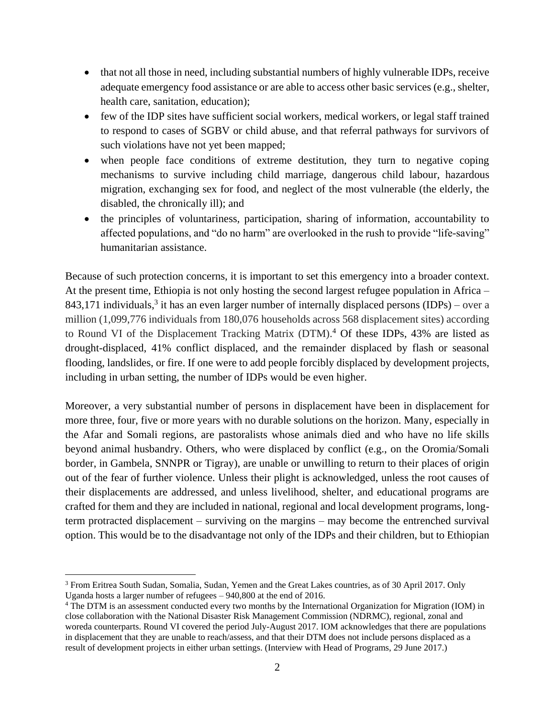- that not all those in need, including substantial numbers of highly vulnerable IDPs, receive adequate emergency food assistance or are able to access other basic services (e.g., shelter, health care, sanitation, education);
- few of the IDP sites have sufficient social workers, medical workers, or legal staff trained to respond to cases of SGBV or child abuse, and that referral pathways for survivors of such violations have not yet been mapped;
- when people face conditions of extreme destitution, they turn to negative coping mechanisms to survive including child marriage, dangerous child labour, hazardous migration, exchanging sex for food, and neglect of the most vulnerable (the elderly, the disabled, the chronically ill); and
- the principles of voluntariness, participation, sharing of information, accountability to affected populations, and "do no harm" are overlooked in the rush to provide "life-saving" humanitarian assistance.

Because of such protection concerns, it is important to set this emergency into a broader context. At the present time, Ethiopia is not only hosting the second largest refugee population in Africa – 843,171 individuals,<sup>3</sup> it has an even larger number of internally displaced persons (IDPs) – over a million (1,099,776 individuals from 180,076 households across 568 displacement sites) according to Round VI of the Displacement Tracking Matrix (DTM).<sup>4</sup> Of these IDPs, 43% are listed as drought-displaced, 41% conflict displaced, and the remainder displaced by flash or seasonal flooding, landslides, or fire. If one were to add people forcibly displaced by development projects, including in urban setting, the number of IDPs would be even higher.

Moreover, a very substantial number of persons in displacement have been in displacement for more three, four, five or more years with no durable solutions on the horizon. Many, especially in the Afar and Somali regions, are pastoralists whose animals died and who have no life skills beyond animal husbandry. Others, who were displaced by conflict (e.g., on the Oromia/Somali border, in Gambela, SNNPR or Tigray), are unable or unwilling to return to their places of origin out of the fear of further violence. Unless their plight is acknowledged, unless the root causes of their displacements are addressed, and unless livelihood, shelter, and educational programs are crafted for them and they are included in national, regional and local development programs, longterm protracted displacement – surviving on the margins – may become the entrenched survival option. This would be to the disadvantage not only of the IDPs and their children, but to Ethiopian

 $\overline{a}$ 

<sup>3</sup> From Eritrea South Sudan, Somalia, Sudan, Yemen and the Great Lakes countries, as of 30 April 2017. Only Uganda hosts a larger number of refugees – 940,800 at the end of 2016.

<sup>4</sup> The DTM is an assessment conducted every two months by the International Organization for Migration (IOM) in close collaboration with the National Disaster Risk Management Commission (NDRMC), regional, zonal and woreda counterparts. Round VI covered the period July-August 2017. IOM acknowledges that there are populations in displacement that they are unable to reach/assess, and that their DTM does not include persons displaced as a result of development projects in either urban settings. (Interview with Head of Programs, 29 June 2017.)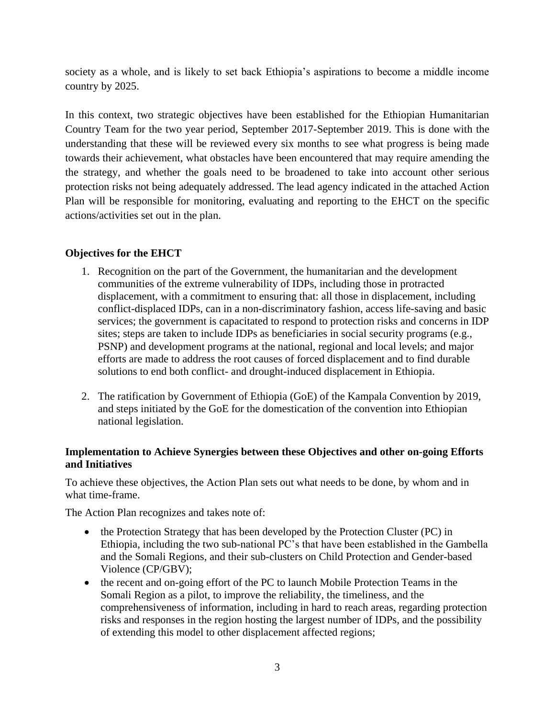society as a whole, and is likely to set back Ethiopia's aspirations to become a middle income country by 2025.

In this context, two strategic objectives have been established for the Ethiopian Humanitarian Country Team for the two year period, September 2017-September 2019. This is done with the understanding that these will be reviewed every six months to see what progress is being made towards their achievement, what obstacles have been encountered that may require amending the the strategy, and whether the goals need to be broadened to take into account other serious protection risks not being adequately addressed. The lead agency indicated in the attached Action Plan will be responsible for monitoring, evaluating and reporting to the EHCT on the specific actions/activities set out in the plan.

### **Objectives for the EHCT**

- 1. Recognition on the part of the Government, the humanitarian and the development communities of the extreme vulnerability of IDPs, including those in protracted displacement, with a commitment to ensuring that: all those in displacement, including conflict-displaced IDPs, can in a non-discriminatory fashion, access life-saving and basic services; the government is capacitated to respond to protection risks and concerns in IDP sites; steps are taken to include IDPs as beneficiaries in social security programs (e.g., PSNP) and development programs at the national, regional and local levels; and major efforts are made to address the root causes of forced displacement and to find durable solutions to end both conflict- and drought-induced displacement in Ethiopia.
- 2. The ratification by Government of Ethiopia (GoE) of the Kampala Convention by 2019, and steps initiated by the GoE for the domestication of the convention into Ethiopian national legislation.

#### **Implementation to Achieve Synergies between these Objectives and other on-going Efforts and Initiatives**

To achieve these objectives, the Action Plan sets out what needs to be done, by whom and in what time-frame.

The Action Plan recognizes and takes note of:

- the Protection Strategy that has been developed by the Protection Cluster (PC) in Ethiopia, including the two sub-national PC's that have been established in the Gambella and the Somali Regions, and their sub-clusters on Child Protection and Gender-based Violence (CP/GBV);
- the recent and on-going effort of the PC to launch Mobile Protection Teams in the Somali Region as a pilot, to improve the reliability, the timeliness, and the comprehensiveness of information, including in hard to reach areas, regarding protection risks and responses in the region hosting the largest number of IDPs, and the possibility of extending this model to other displacement affected regions;